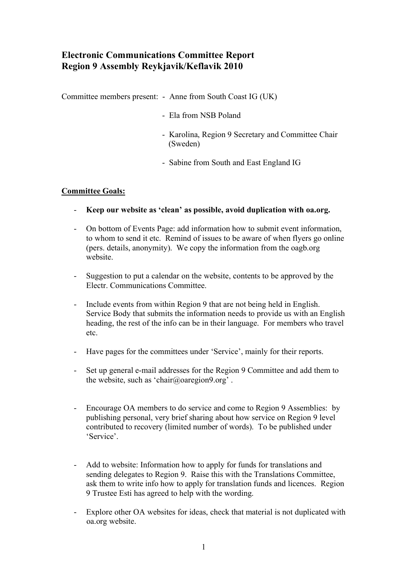# **Electronic Communications Committee Report Region 9 Assembly Reykjavik/Keflavik 2010**

Committee members present: - Anne from South Coast IG (UK)

- Ela from NSB Poland
- Karolina, Region 9 Secretary and Committee Chair (Sweden)
- Sabine from South and East England IG

# **Committee Goals:**

- **Keep our website as 'clean' as possible, avoid duplication with oa.org.**
- On bottom of Events Page: add information how to submit event information, to whom to send it etc. Remind of issues to be aware of when flyers go online (pers. details, anonymity). We copy the information from the oagb.org website.
- Suggestion to put a calendar on the website, contents to be approved by the Electr. Communications Committee.
- Include events from within Region 9 that are not being held in English. Service Body that submits the information needs to provide us with an English heading, the rest of the info can be in their language. For members who travel etc.
- Have pages for the committees under 'Service', mainly for their reports.
- Set up general e-mail addresses for the Region 9 Committee and add them to the website, such as 'chair@oaregion9.org' .
- Encourage OA members to do service and come to Region 9 Assemblies: by publishing personal, very brief sharing about how service on Region 9 level contributed to recovery (limited number of words). To be published under 'Service'.
- Add to website: Information how to apply for funds for translations and sending delegates to Region 9. Raise this with the Translations Committee, ask them to write info how to apply for translation funds and licences. Region 9 Trustee Esti has agreed to help with the wording.
- Explore other OA websites for ideas, check that material is not duplicated with oa.org website.